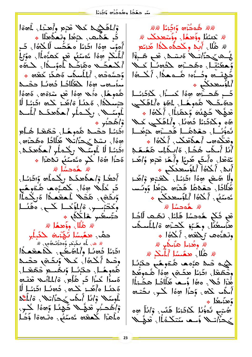وْمُلَكَّلِهِمْ كَمَلاً مْتَوْمٍ وِأَهْلَنَا. لَمُوْهَا ئُم هَكَمُت. حَزْهُا وِتَعَكَّاهَا \* أُووَّبُ وَوَٰهُ! اثْنَاظُ وَهُكْتِبٍ لِّأَلَّكِوَٰا}. كُبِر ٱلْمَلَامِ وَوَٰٓءَا شَمِّنَٰٓىٰ شَيْ كَعَزُواٗاً. وَوُّزَلَّےْ أَكْتُمُكُنَّ وَهُزَكْتُمْ لَمُوثَكِمًا. كَمَرَةً وُحِشُوجُهِ . أَلْمُلَمَلِكُ وَهَكَا كَعْلَاهِ \* مُسْرَحِهِ وَوَا كَمُكْلَاصًا دُوسًا حَصْبِهِ هُموهُا. وألا هِوَا هُمْ سْرَةَهِ. وَهُوَا حْسِبْكُمَا. هَجِئْا وْاهْدْ كْتُو اخْشَا لْل لْمُوسَمْكَ ، رِبُّكْ دُلُو أَحْكَاهِكُمْ أَلْمَسْكُمْ وٛٳۿڂڗؙڔ اكْنُهُ حَصْــهُ هُومِــّاً. حْقَقْهُ هُــأَم اب ستم حي الم الم الأعرب من الأم ادَّنْـَا لَا ـْمُوسِّىلا رِبْحُـملُو أَحْدَهِكُـمْ. ەَدَٰا ھُوٓا ۚ كُر مَعۡمَـٰفُ لَـٰاهَٰۥ ﴾ R Lisca R أَحْمَدا وْالْعَذْهَدْكُمْ رِجْعَةُ وَادْرَسُلْ. كُمْ كُلُمْ هِهَا. كُعْبُوهِ هُتَوْهُمْ وَّىضَىْ، هَٰدْ أَحْقَمْهُ أَيْخَاهُ أَمْرِيْنَاهِ أَ وَكَدَّغْ ِ وَلِيَوْجُدِ لَا كُلْسٍ وَقَبُداً دَّسْمَسِ هَاتِكُمْ \* & هُلاً. وذَهِمُا & حقٍّ. همَّبِسُل تَكْتَبِيْهِ كَخَبِلَبِ ، ه. في أو بكَرِيْدِ وُوْمَتْكُبْتُوْوِر. 2 اكْتْنَا دُوسًا وْٱلْمَعْكِ. ݣَاهْمْهَا وصْهْ أَكْشَاً. كَمْلاً وَبَضَقَ حَصْبِهِ هُوها. حدْرُبُّا وُبِعُصِمِ ۚ دُعْهْدا. ەْسِرًا كْبُرَا كَيْ هُلُعْ. وْالْمَلَّابْ هْتْبُو هُحِبًا هِ أَهَٰذِ كُلُوبِ دُوسًا ادَّنْهِ الْ لْمُوسَلا وْامْا أَحْكَمَ يْحَدّْاتْلا . 16ْلْلْلا وْإِهْدِءُ وَهُمْ لَا خَمِعُا وَمِهَا كِلِي. وَلَمِّوْا لَكُمِعْدَهِ شَمَيْكٍ. وَنُدَهُ أَوْجُلُ

**@@ هُديَّة وَاجْنُدُ @@** @ تَبْسُلُ وَوَكِيمًا. وَوَسْعِدِكُمْ @ @ هُلَّا. أَبِيهِ وِكَحِدُّهِ حَكَّا هَن<sub>ْ</sub>تُع لُّے صَّلَاتِ اللہ عَالَمَتِ اللہ عَلَیْ مِنْ ا وَّهِعَمَّيْتِ]. وهُدَ أَنْ لاَدُوسًا كَمِلًا كُهِنْتُ وَدُوْهِ! هُــوهُمْ!. أَجْدُهُ! أَلمُؤْمِعْدِكُم \* كَبِ هَجِنَّةٍ وَوَا يُحِبُّلِ. كَاذَبْهَا دەَخَىلا ھُەمِھُـا. ِاھْوْ ەْلْمُكَــىي هَدُلًا حَٰدِيُهُ وَحِجَدَاً. أَعْدَهُ • هُه وكَلاَدُنْا دُهْلاً. وأَلمَكَكِي كَمِلاً نُوزُنُــا. حمْـاهُـــا فُمـــتْزَو حَرْهُـــا وقتكوهم أحكّفك فأحكما والمحمد أَبَا أَسِكَت هُجُا. هَ/سِكَيْت هُمُتَهَجْ يَّةهْدَا. ه}َمَكُمْ هُدِيًا وِأَحْدَ هُدْهِ وُاهُد: أَبِي، أَكْثَرُاً ٱلْمُؤْمَّعِيْكُمْ \* وِلَا هَيْشَ هِهُا ادَّنْسًا. كَشَبْطٍ وْاهْدْ هَٰلَائِلٌ. حَمْدَهُا ۖ فَحَزْهِ ۖ حَزْهُا وَوِتَّــت ئَەمَىُّلُ . أَكْدَّا ٱلمُؤْسطىكى \* **Rediscip** هْمِ ثُكْمٍ هُوصِمًا فَامًا. تَمَّـعِ لَّاحُـا هَزَمِيهُماْ. وِهُمْزِ كَلِّدْرُهِ وْالْمِلْمِيْهُمْ وِلْعَنُوهِ وَلِكْلَاهِ . أَلَمْهُمْ فَي **کر وهُنا هُنگَې پ** & هُلَّا. محمَّس*ُل*ا *ٱلْمَ*كْرِ & لحيء ثملا هؤمما هُتَوِهُم حكَرُبُنَا وِحْتَفَعْلَ. ادَّنْنَا هَدَّشَ هِ٥ُ هُـُ٥وهُدِ هُٰذَا ثُلاً . وهُا وُٓ؎ هَٰللاَصُـٰا هجَّۂاًا أَمِّكُ لَكُمْ. وَجُزًا هِوَٰا كُلْسٍ. بِحَيْتُم أؤهنُّنهُا \* ِ هُـْبِ ۖ نُـُوزُىٰلِ ۖ كَلاَكْنِىٰلِ ۖ هُنُبٍ. وۡاٰنُلُ وَهِ ى دَأَائِلًا وَْسِعْا مَتْكَدُاً. ثَعَيْرُ لَكَ الْمَحْ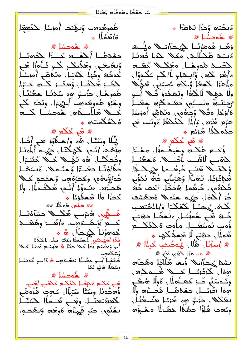هُومِهُوهِ وَبِهُتِتِ أُونِيُنَا ۖ لَكَمِيقِا ة/مَّحْمُاً \* 2 Lisan 2 حقدهُــا أَحدَفَـــه جُنــأَا حَدُهنَــا وَبِهَجْيٍ. وِهْكُنْكُمْ كُبِرٍ ضُنُورًا هُبِ گُددُن<sub>ٌ</sub> وِحَٰٓبَا ۖ كَدۡتِیاً. ونَکُاهُم ﴾ُدومُنَـا لمَكْسِ; هَٰلِكُما. وَهِكَس; كَلْمِهِ كَسَبَهِ هُومِمَا. دَّنْبُرْ وَهِ مَكْلًا حَقَّنْنَا. وِهَّزْوْ هُدُوهُدهُ لَّكِيْرًا. وِنَحْزَا كَمِ كُمِيلًا هَلِلَمِسْمُ هِ هُوصِيُسَا كُمْسِهِ  $\bullet$  gigallo a a ita لَىٰلًا وِمَتْدًا. وَهُو وْالْمُكْوَّوْ قْبِي إُِحُـا. دَوْهَها أَسُّم لَكُمْكُمْ , حَيْثُ أَلَمَامُا وحُحكْتَا. ۚ هُ٥ نَهْبُ لَا حُمِلًا حَمْتَتِهِ اِ. حكَّاءُتْـا حَعَّــۃًا وَحَسَّــه لَا وَسَنْعَــا كُمْرُوَّْمِيْهُمْ وِكْحَبِّةْهِبْ وُحْبَّحْهِ كَمِلًا هُدَرْهِ. وَنُدَوْءُ أَنُدِ هُكْشُدَءُ!. وِلَا حُدُّا وَلَا قَعِجُوْمًا ﴾ an Los pia xe قَــنَى : هُـثَبَ هَـُـــة حَسَّاهُـَــا كُمْ أَوُمِكْمُ تَوْمِ، ݣَاهْدَ: وهُقْدِ مُدەوُنَا ئىچە: ﴿ \* \* حُكُمْ أَوَّنِّي كُمْوٍ. أَحْقَقَدُا وَحَثَّةٍ! حَقْ لِمَكْتُمَا<br>أَسْرِ وَهُنَّمْتُمْ أَجَلَّ حَلا حَثَّنًا فَّ هَنَّمْتُمْ هُزَيْنًا كَبِيلًا ۇسكەھە<br>دَرْىُمُ لَا يَسِ بِيْشَـٰزُا مُمَّسِّعِهِ - ۞ ۞ اسو گەھنُـا ومّعلًا هُجٌ ُعْدًا 2 Lisan 2 قىي ككام مَتَبِقُدا لْمَنْكُمْ كُلْقَيْبِ أَهْبَ. ؤُهِحُمْلًا وِمَثَلًا مَتَبَلَّا. كُهُوبٌ فُنُوهَى كَعدَة تعسْلُه وقِبٍ مُحْسَدًا كَمَنْتَسَلَ بصَفْهِ . حَمْرٍ هَيْءَ۞ هُوِهْدِ وَمِنْصَحِبِ.

ەُىـثَـْتە وُحـُّا تْلاعْـا \* @ Lisai @ وَهَٰد قُومُ ُسَٰلٌ جَيْحَہُ ۡدَیۡ وَیَٰدِی وَیَٰدِی ەَسْمْ هَكْلُلُمْ. مَكْلا كەل دُەنا لحصْبِهِ هُومُا. وهُكُلا كَعْدُهِ هأهَدَ كَلُّهُ. وَإِسِمْلِهِ لَمَا كُلُّ كَكُمُوا لِ هِلْعَبْا كَعِعْدَا وُحْلَاهُ شَمْعُهُ. شَوْيُلا وِلَا حهلا لَاكْدُا وِتْعِثُووْ ثَــلا أَسو ترجئتس متسئم حكمكره جعكنا ةُافِكا وَثُلاً وُجِبُّهُمْ. وَنُكُلُّهُمْ أُوفِعُا هزم هُنْزُهِ. وَ} أما تَكْتُكُمُّا هُوِيَّىب هُم حذَّه حَذًّا هُنْ هُو a a is it وَّكِنَامَ هُكِنَّةً وِجُبَقْنَةُوا وَجَمَيْنَا لِحْدْمِبِ لْأَنْفُسِبِ لْمُصْلِحِفِينَ مُحْمَدُ الْمُحَمَّسَ وَلِحْشَالًا شَنَّعٍ خُبِشُــٰء! مَكِيْـلَـٰهُ! هَٰٓدِكُمَٰٓدَٰٓدُ ۚ. نَهُ ۖ نَّ أَوْهَ ۡبَنَى ۖ حَقَ نَـٰآؤُ ۖ ثَلْحُثُوب. كَرِمُوم! وَكُتَّا. ٱبْعَفْ كُرُّهُ دَّ: أَخْذًا. حَيْمَ هَنُمَهُ هُمَشُعَةً لحققهللاء ابتكتكا لنعن فك كُن هُم هُوزُسًا. وتُعطُّا دەتم ؤْهِ شَمْعُكْ . هاهت هَ حَكْكُتْ مِ هُداً. دەتر لا مْعِدْكُلُ \* هِ إِسْتَمَالِ هَالِ فَيَحْمَدِ كَبِمَا هِ  $\mathbb R$   $\omega$ ,  $a$ i  $\angle$   $\angle$   $\omega$   $\omega$   $\sim$ بشم حي حزَّاتِي فَي هَناتِهِ مِعْجَزَة هِهُمْ. كَلاَحُنْكُ كَلِيمٍ هُمْ وَكُلْمِهِ . وِشَـٰمَـٰٓئِي کَـٰٓ ۚ کَـٰۡدَ مَّاۡدَا ۚ ہِ اَا ۖ ہِ مَّـٰثَی هِهُا اكْنِسُا. حَمْدَهُسا كُحِبْتُ وَلَا بَعَّكُمْلاً . جَنُبُرْ وَهِ هُزَيَّا هِزَيْتَهُمْلَاً. وِمُهِد قَاؤُا حَقَٰدًا حَصَّرْاً مِمَّبِؤُهِ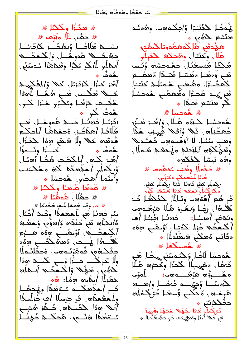**& هِنْدُا وِكُلْمَا هِ** ه حقَّ. *ثأل* هرُوْها ه ىشىم مْلَائْسا رْىمْكْن كْرْدْسَا دەْمِئْكِلا ھُەوھْكْ. ۋاڭىمئىكلا أَبْتَغَلِّمَ لَمْ كَلَّا وَهُجَاهَ وَالْحَمْثَ الْمُسَمَّلُ . ۿ٥ڞ؇ أَهَٰذِ كَمَٰٓرًا كَلاَكۡذَابِ كَمَلاَ وۡآٰءَكَٰٓدِ ۖ كَمِيلًا ثَعَنُكُم، ثُمَّعَ رَهُمُما يَوْهَ ا هَٰٰٓمُــڡ دَٰٖٓٓمُـا مِكْـٰٓ؛ مُـْٓا كُــر. هُوتُ كُرِ \*<br>اثْنِـُـا ثُـْ0َيُـا ثَــد هُومِـمُـاٍ. مْبِ هَلَلاحُـل أَهِـكُحَـٰ: . هُجِـهُـلاصُل ٱللحـْكَـعِ فَعفَتِهِ كَمِلًا وِلَّا هُمْعًا هِوَٰا لِكَمُزًا. حَدَّدُ \* مَسْـرًا ونُــدوُّا أَهَٰذِ كُلُو، أَلْمَكْتُتْ هُجُلَ أَهْلَلَ. ۇرېگەكم أھكەنگى كەن ەھكىئىب وأَمَّدا أهجُن هُوصُا \* **& هَوهُا هَرِهُنَا وِ كُلْثَا &** ه حقُلًا. هُوهُ*نَّا ۾* ® ه. ومًا هُمهْا وُسِ هُدُوكا ® مِّبِ دُوباً هَي أَحِقْحَدًا وِدْهَ أَحَّدَا. ے۔<br>وَأَبِيْلِهُ هُمْ تَبَيْنَهُ وَأَهُوْمٍ وَحَمَدُهُ<br>أَيْكُمْ مِنْ أَوَيْمَتِ هِوَهِ هِمْهِ<br>يَلاَّ هُمَّ أَيْتِ وَهِدَهَ لَأَيْبٍ هِوَهِ حثَكْتُوم فُوعْبُصُومب. هُحثَانُـولُمْ ا وِلَا تَدِيْكُ حَيَّا وَبِ كَبِيهِ هِءُا كَشَيْرٍ شَوْكًا وَالْخَلْفَصَلا أَسْلَمَلُه هِهَٰذُا أَسْلَمَهُ وَهُمَا: ﴿ كَ إِمْكُلْهِ مُسْتَوْهُمُ وَيُحِشَا وِٱحْتَحِمَاهِ ۚ. ثَمِ حَبْسُلًا أُفَّ خَبْلُكُم أَأَلمَلَ وَوَٰءًا لِلصَّلَاءِ وَ صَلَّاءِ وَهُبْهِم ڝٚڠۿؗۮؙ*ٚٳ* ۿ*ۮ۫؎*ؠ. ۿؘڡػ؎ػڮڬٛڵ

لْمُحَطّْ لِكَنَّبْتِهِۥ وَٱجِنَّـٰدِهِڡ. وِهُءَشَـٰه هَنَّسْمَ لَحَدُّهِ \* هِهُوش هَا گُوههُونا كُنفُوم هُلًا. وَكَتَتَرَا. وهَجَلَاهَ كَثَيْلُو هَٰٓدُدُا ۚ هَٰٮۡٮٮعَٰنُـا ۖ . حَمَّـهحشه ۚ وُنَـُـٮ هُبِ وَٰ٥هُـا هِ هَشا هُتِـدًا هُعفُــع كْݣْݣْدْ: ، ەھُىھْب ھُەئلُك كْتُنْبَرْا كُم هلَّسْمِ هُتِّمَّا ﴾ هُوصُلِ لِهُو هُـُلا. وْاهُــز هُــزَى كَعْكَبْلُوهِ. ثَلا وُ/ثَلا فَي مِنْ هُمْا وْهِبْ مِئْشَارِ. لَا أُوْقْسُوهِ بِأَحْمِنُكُمْلَا وقَعِيمُكُمُ مَا أَوْحِبْكِ وَيُحِصْحِ هَدَاً . وۋە ئېشا خېگىر. & حُثَم*أا وِهُ*نِ مُحصَّد & هُن*نَا وُم*ْعَدَكُم مَكَبُوَّمٍ.<br>رِكْدَبُرٍ كَعَمٍ دُونَا ادْنِنَا رِكْدَبُرٍ كَعَمٍ.<br>مِكْتِكِدُبُرٍ تَعْعَلا مُنَيْا ةَسْتَقَا كَمْ. كَرِ هُم أَفْتَوه وِتُلِمَّا كِنْكَفْا كَ: كَذُّهُاً. رجُل وَبِمَّنْ هُـُلَّا هَزْهُـدهِ بِ<br>وِيُدْهُرِ أُوفِيُـلْ: دُويُـل رَجِّنْـل أُف أَكْتَمَكُدْ خَزِا ۚ كَدْيَا. ۚ أَوُتِمَّتِ وَهُهَ ەڭلىُّ ەَھىكى ھَىھُنُّماً! ﴾ R Lelucie مِـمَّـدَ مِنْهُ مِنْكُمْ بِـرَاءَ النَّـمَـمُّـرِ دَهُا. وهَيْ أَلْمَ كَدُرًا وَكَحْرَهِ هُلَّا لأوسُا وُحِيْد دُوهُا وْاهْدُه هُبِمُـهِ . هُدَكْبٍ وُسِعْداً خُرَجُكُمُلُه حثَّكُنُرُبَّتْ \*<br>حَتكِمُبُّرٍ مُنطُ بِحَهْلا حَصَّهَا وقُوبٍ أ.<br>شَي ثَلا أَسُلَ وَهُدَيْهُ ۞ حُو حَقَّمَتُهُ أَلْ \*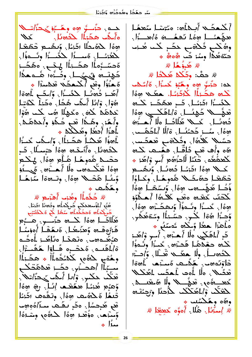جبهي حَنْسُوٌ وَهِ وَهَنْجُوْ كَيْحَنَّاتْبْلَا هأمكَ هجَبَلًا كَجُوبًا. `` لَكَلا رەەُا كەمحاًا رَكْبْئًا. ۆىھىم كىقىقى لِكَعُنُّ لِيَ وَمِيْدُ الْكُنْدُ وَالْحَقُورُ فِي مَعْرُونَ الْمَرْدُونَ الْمَحْرِدَةِ الْمَحْرِدَة ەَحِمَّــرُّه اُلْمِحَـــزاُل لِـكَـــ وَهَجَــزَ<br>حَمْنَـــهِ فَكِجِرَبِـــل وحُـــرُّه( هُـــمِـماُ هُمْزُوا وِتْعَ أَكْتُمْكُلُّ تَعْلَمْهَا \* أَهَٰ ذُوبًا كَمُنْ!. وَٱحۡ أَوْهَا هُوْلِ. وْاْلُلْ أَيْكُفْ هُجُلْ. وَجُنْفَ كَكْتِبْلْ تَدْهَدُ كُنْ . مَكْمُلًا شَا كُبْ شَوْا وِٱهَٰ: وهَـٰدُا شَـٰم حُـٰدُو وٱحدهَـٰدَ. يَادُا أَحفُا وهَكَكُمْ \* لْمُعِدًّا هَكُمْاً هِجَّـٰٓٓ;اُل: وَٱسْلَمَٰتَ كُنْـَۃًا لْحَدُوبُكُلِّ. وأَأَمَدُو وَوَٰهُ الْحَمِيلَالِ. كَبِر وَّسُل هُتَـــلاً هِهْلَ. وتـــهةا مَنْزَهُــا وهَدَّمِكَ ﴾ & حُذْه لُما وهُن، أَهْنُو & هُنَّه ٱلمُعتقدَّة ثُمريُّه أه وِدُهنَّا آدَّنَا.<br>تُريْها آه هَدَدُها ه سُعًا لَّذ هَ ذَكْتَهَا هُلَائِـــا هوُا كَـــه حَنْــــو. هـــرُم فَزْوَقَـهِ وَهٰذَهُـا }. ەَىمَقْـا أُهومُـا هُرُهُـــدهـــ. وتَعَـدُّــ وتُلهُـــ: لِمَحْــد ة/المُعد و مَحدٌ و عَلِيٍّ اللَّهُ عَذَارٍ . وهُمْعِ كِلاَهُمْ كَلاَيْشُماْلَ \* هَـحُـزَلُمْ سِبَاًا أَهجَـٰ;ُرٍ. حجَّـ: مَدْهَجَكُــح هَنْكَ حَكْسٍ. وَأَمَا أَمَكُ يُحَزَّاسًا . وَهِبُم هُٰٓئِيلٌ هُمُّهُـم إِيُّلٍ. رَقَ هِهُا تَعمُلُ هَٰكُلُهُ مِن رَوِهُ الْهُ عَلَيْهِ وَسَوْعِهِ وَأَوْمُرُ ھُمْ ھُرِجِسًا. وَكَرِ بِكُنفِ مِيزًاوُوِهِمْ وَمْتَوْهَا. دَوْقْدَ هِدًا كَلَّةُهِ وِسْلَةُا مثال: ﴿

أكْتَمْكُمْ أَبْتِكَلُّهِ: مَتَّتِصًا مَعْصَلًا هدكَمسُه العامَل تَحمُدهُ وَأَهْدَأَ. وہ کب دُکَھٖے حکّہ گب ہُنے۔<br>حیّہ مُکا ومُن کٌب ہُہ ہُ **۱۹ هُدِدُهُا ۱۹** ه حقّ: وكَّلا هَلاَمًا *ه* حد: حزَّبَ 90 وهَرَّو كَسَرًّا. ٢١ كَمَل كْلَمْ هَكْزُلْمْ كْلاَخْزْسْلْ. هفْكُلْهُ هَا لِكُسُرُا ادَّرْسًا. کُبِ مِثْمَکَّز تَكْبُو هَؤُكُمْ حُمْسًا. ةَالْمُكْسِي 1هُ دُروسُــا. كَـــلا مَلْلاَصُــا ولَّا أَحـــزُرْه رِّهِ وَا. مُسْزِ كَعْنُسَا. وْالْلَّهُ اْلْحَكَسْب دَسَّىلا لمَلاَّة!. وِثَلاَهْبِ شَعفَـت. هُه وِأُفْ هُمْ دَٰاِقًا. فَهُنِفْ لَاه كَعِجْعَةٍ . تَتَّمَّا لَاجُرْهُم أَبِ وْاهَدِ \* كَـــلا هِهْا آَخَنْــا دُهْــا. وَبَـقَـــع دْنْفْعْدَا دْهُمْكْكْ هُومْسَا. وْݣَاوُا وُحُط هُجُمِيعِت هِءُا. وُيَسُعْطَ هِءُا كْتّْفَ كَعْدُه وْهُم ݣْلْدُهُ أَهْلُوْوْ هِوَا). كَمِيزًا وِنُسْوَأَ وُلِعِجَبَتَهِ هِوَاً. وَحِزًا 20\$ا كُبِ. حَمْـزْاً وَعْـَةْهُدَّى. هُ الْمَوْا هِعْدَ وَمِثْلَهِ شَمْلُهِ \* َ ثَمِ ٱلْمَكَّلِي مِلًّا ٱحْتَرْهِ ۚ ٱسو وۡاهَٰذ لْكُلُّهِ حَقَّدُهُمْ لَا هُجَنَّوْهُ . كُمَّزًّا وشَوزًا كْتُوبِكْ. وِلَا حْكَيْكَ تْعْسَلْا. وْأَصْرَا خَاوْتُەھە. جُدَّىك ەْسْتَىھە گەۋا هْشُىلا . ەلْا ماْەد مْھمَّىب لمۇنْكىلا كمعبِّدةً م، قَدْهُـــــــلا وِلَمَّا رَهُمْتَ مِنْدَ ــــــــمْ لمغتك والمغتكك للأصلا ورجلته وقه وهُكْسُبْ \* هِ إِسْتُمَالٍ. هُلَا. أُووُه كَعِفْقا هِ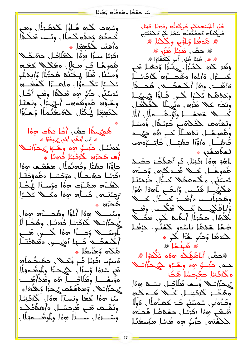وِمُـهو مَـْ الْمَوْمِ الْمَحْمَـٰ اللَّهُ عَمْدَا اللَّهِ وَهِيمَ كُـەكُە وُحِدُّەڭـەلُمْا. وِنَــْت شَكَــٰهُا ەأقئىر ككعفار م ادَٰنْ مِياْلِ وَوْلَ حَمْلَادًا. دَوَّمَدُ هُومُا ئُـرِ مِـرَكَا). وهُنْكِلا كَعْبُرِهِ ؤْهِمْنُا. شْلَا لِيحْتّْنَكُمْ هُجَةُلَٰا وَٱبِكْلُر بُكْسُرًا حَكْسُورًا. وَأَحَسْرًا كَعْفَسِهِ مُمَمِّعٌ. جِنُرٌ وه مَدِكُما وقبِ أَحُـلَ. وِهُوْوُهِ هُمُوهُمُوهِ لَمَلِي إِلَى وَتَعَلَّمِ لْكَعِيقِهِ لَيُكْتُل حَوَّمَعَّتُمَاْ وَحَبُوْا هُمْ سِمَّا حَمَّ. أَحُا حَمَّد هَا ه اتْكْبِرِ رِمْهُ ) رِمْهُ أَ. هُ ه يُدْسُلُ دُبُوْ وهِ وِهْبُوْ كِحَزَّائِيلًا أُف هُجْزَه ۖ لِأَكْرَبُا ذُهرُا ۖ \* حاِقُوْا حَيْثَا وِدُونُومَا). محكَّف ووها ادَّنْـَـا حەَّىتــال. ەۋتىشــا ەھُەۋكْتـا لَّهُنَّوْهِ هُكُنْوَكَ هِوَٰا هَوِّمِيلًا لِمُكُمَّا أَجِئْنَــْهِ . كَـــأَه هِهْ ا مَكَـــلا كَلَـــرُا  $\bullet$   $\bullet$ ومئسسلا هؤا ألمؤا وهجشوه هؤال كَحِذَاتِيهِ كَادَّنْيَا دُوسًا. وهُجَا لَٰا آوسًى \$ وَحِـــزًا 50\$ كُـــزٍ. قَيــح<br>الْكَــمحَـــلا حَــزِا أَيْ ــرٍ. هِقَلاَتْـَـا ھُٽُلُو وِٚمُنَبِّعُلُ ﴾ هُمبُد الْأَمْلُ ثُمِ وُتَمِيلًا ، حَقِّمَشُومَلُهِ هْمِ سْدَهُ! وَمِيزًا. ۞حَيْدَ أَوِلُوهُـدَوْلَمَا مُهْ; هِهَا كَعُدًا وِتَسَالَ هِهَا. كَادَّنْـًا وِنُقَـْعَا هَـٰمٍ هُرِجِسًا. ه/هِكُكْبُـِهِ ومثلمان مسأل وها وأوهُسوفال

هُنَّهِ ٱل<mark>زَّمَعدكَ حَرِيْدَاُ» وِدُه *بُ*ا ادَّرْمًا.</mark><br>حَرِيْدَاْ» ەَحتَفَّداْ» مَعْا كُم ەَحْكَتْبَ @ هَءهُدا وُلمْوْمٍ وِكْلِّدًا @ ه حقٌّ. هُنْمًا هُنَّى هُ ، هو . هُنئا هُنِّي. أَسِ لِكَقْعًاوَا ، وَهَا كَمْهَا إِنَّكَ أَيْتُمُ الْمَمْلِكُمْ مِنْ الْمَهْمَ مُكْتُولُ: ةالما وهُجِبْرُو كَلاَدُوْمِ ا ةُ/هَـــز. وِهُ أَكْتَـمْكَـــلا. هُـصــدًا وتحكمك نُكْبُرا كُمْسٍ. هَاؤُا فَيُحِيُّها<br>وَنَكْبًا خَلَا هُنْزَهِ فِي اللَّهِ كَيْحَقَّارِ. حَمِيهِ هَعِهُما وَأَوْجَعُهِ وَلَمالَ أَلَمَا وِبْعِنُوها لِلثَّلاةِبِ ۖ دَّتِكُمَّا. وُوسُل وهُومِهُا. تَدْهَلْا كَبِرٍ هُو دَكِيْتُو دَّوهُـــا. وإوّْآا معَبّـــا. دُاتـــزّوهب تمكَّمهُم \* لْمَاهَوْ هِهُاْ ادَّبْنَا. ثُم أَهلَاكُ: حضْبِهِ هُومِمَا. كَمِلًا هُمْدَكْرُهِ. وُحِبْرُهِ ثَمِمْلُو. مِكْمُعَكُلا يُسْرَٰا. خَبْطْطْ عَكَنِّي الْحَنَّـبِ. وَٱمضَح الْمَوْمَ الْمُوْا وهُدَناُنـــد ه}هُـــز مُدْ:<br>وۡ)لِمَوۡكَٰلِي A يَدۡيَّلُ مُتَكَــدٌ وقُب كْلَاهُ!. هِجَٰٓءَاۢا ٱمْمُـه كُـرٍ. مْغُــلًا ھُمُّا هُدْهُا تَلْمُومِ كَمُنُّسِ. دَمِّدًا<br>حُمْعُدًا وَجُنُو هُنَّا كُو \* @ هُدِوْهُا @ هجعًا. أَلْمَٰهُكُمْ مِهُو سُنُورًا هِ هـه. دَّنْــَـوُ 90 وهَــَمُوْ لِمَيْ حَـُمُ اتْـَــلا ەڭلۇنا دەردىئا ھَدْ: ى دَرَّاسْلا وَّــم هَٰلَاتِها. بِسْبِهِ 1هُمَّا هَهُكُ: كَادُنُـا. كَـْمَا هُـِمكْنِهِ وِكَـزُهıُو. شَـهمَّـٰفُ كَــٰز كَـٰهــزُهـٰدَا. هَوِلَا هَجْمٍ وَهُمُ ادْنَىٰلَ. حَمْدَهُمْ قَدْرَو لْمَلَّقْدُهُ . حَزَّىَّةٍ وَهُ هُزْمًا هَزَّمْهَكُمُّا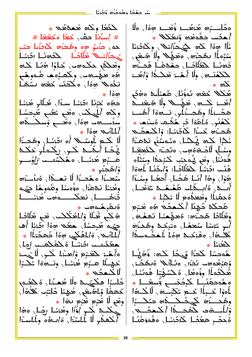لمَكْعُلُم وَلَاه مْعَمْعُدْ \* ه إستَمَا حقٌّ. كَعُدا مَكْتَعْدَا هَ هم. حزَّبُو وه وهُجرَّه كَاجَمًا حَبْ كْحَزَّاتِــلاً هَـلَّاحُــل لكمُوسُـل ادَّنْــلْ وِهْلُمُّهِ مَلْدُونَ. كُلُّوُا وُنُا كُلُو هُه هٰذُـهــه . وِكُمُّْوَمُ هُـُومٌمْ تَثَمِلاً وَوَا. مَكْتَبُ كَعْدُهِ بِمُعْلَم  $\bullet$   $\downarrow$   $\circ$ حةَه كَبُّلًا اكْبْسًا مِيرًا. هَٰـلَٰلِ هُـٰٓئِـلَ وَكِلُّهُ ٱلْمَهْكُفَ وَهُمْ كَفَكُمْ هُرْحِيمًا مأسسوم وةا. وقُسم وْمِكْتَمُو  $\rightarrow$   $\frac{1}{2}$   $\left(\frac{1}{2} + \frac{1}{2}\right)$ لًا كُلُّم أُوسًى أَه ادّْسًا. وهُدَ:ًا لُهُما أَلَمُسِهِ كُلُو. رِكْماَرِ تَكْلُهِ هَدّْرُمْ هُٰذِئْكِلّْ. هِ هُٰكَمَّتَكَفِ وَالْوُسِيو وٛاهُدُو ؞ مَعْدَدُا مَعْدَدُا لَا تَعْدَا. هَنَّتْتُ وهُنْئًا لَـكَاهَٰٓأَ. هَؤُهِمًا وِهُـهُوهُـأَ دَيْبِـهِ هُ كَلَّمٍ شَمَّا وَالمَعَنَّكِبِ. هَم هَلَائِط كَيْتُ هُرِجِسًا. هَعَكُمْ هِوَٰٓا اخْتِيَّا أَف ٱلملأسد. ةالمكّلي هِهْ أَحْمَدْنَا \* مَعَكَّدَت ادَّنْـا مَكْتَكَفَّ زُولَ. هأهم: لهفتوم واهشا كحس لاُصْحَة تَحْمِيلًا هَــرُمْ هُـٰٓئِــًا. وِتَــْجَةَا عَكَـرُا لأحْمدُ \* حَاسُرًا هكُمُكَ A هَلَّا هُـمـَٰٓئاً. هَـحْشَـم كَتْعَمُلُ وَلِمَحْشَى. هُوْمُلُ دُاتِبٌ كَلَاهُۚلُ. وهُم لَا مُترَم هُتِرَمَ بِهَا \* حَكْمَكُمْ يَكْبِرٍ إِذْرًا وِهُنْمَا رَجُلٍ. هِ هَا آَيْكُمْكُمْ لَا عْلَمْتْزَا. ةَ الْمَثْقَ وِعْلَمْتْزَا

ەڭلىسترە ھُزھُنىڭ وُھْت رەۋل قال أهضُب حقَّة مْدَه وَتَعَكَّلُكُمْ \* مْلَا ہوہٗا کُٹھ کی جزَّاتِک وِکَاخَتِنَا مَّ مُوَالِمًا لِمُحِبَّرُهِ . وَهُوْ اللهُ اللهُ مِنْ . دُونُــا حَمَكُلادُــا. حمْحَمْـا هُـدـ-ٓ;و كَكْݣُلْتُ: وَلَمْا أَجْبَ هُكُمُا وْاهُدْ  $\bullet$  on هَٰذَلا ۚ كَعْدَه نُوزُلُا. هَمِنْأَما وهُمَّ أَهَد: يَكْتُرُهُ . مَعْنُ لَكُمْ وَلَمْ هَا مَقْعَصَدُ هكَــزِمَا وهُـدـزُمَٰنِ. تـــوةا أَهُــــز لْكَمُلُو. هَاهُدَا ثُم هُذَّىكَ هُسْتُهَا \* هُدَۥَّن ێٛٮڒ۠ٳ؉ػڗؙٵ؞ وؚۤٳڲٚٮڡۘػ؇ ئكرا كُلُه بِكُمْلَ. وَشَوَمَّةُ تَلاهِ ٱ ومُلُّلُ لَّاحُـةَهُوَمِ. وَتُحَبَّآ كَكَعِقِيَا فُوسُدْ. وِهْمِ رُوْهِيمُ كَمَرْهِدُا وِمَتْلَام كُنَّب آَكْنُـلْمْكْلَاكُـلْ: وَٱمْكُـُـلْمِ لَمْ160 دُوْلِ. وَهَٰا أَبُّلْ هُڪُل. أَحْمُدا وَمُثَلَّا أسم. ةابسكك هُمُسَكِم تفقيل. هُ حَكَّنِهُ الْمُعَمَّدُهُ مِنْ الْمَحْرَاءِ. | هُحكُمْ حُمْلًا أَكْتُمَحَّلا 6َهِ شَهْعَ . وهُلَّادًا هُدَرْه: هُمْهُمُـا نُـْهَـمُّ . أس حُتِمْا مُعْمَا. وْمِكْمْ وِهْدَاهْ كَذْبُهْلْ. وَقْزَحْكُمْ هُوَٰٓا لْمُعَشَّدِسَكُمْ لمعُنْ \* لَــوْهُ فِي الْصَرِفِ الْمَكَمَّـ الْمَحْمَّدُ لِمُحَمَّدُ ۇھۇھُدەپ ئېتْر. ەئىللا ئىگگىز. هَٰٓدُهُماُ ا ووَّٰههُما وَ هَدَمُوْيَا ۖ هُوسُمَا وَ وهُودهُنُا كَرْدُمْبِ وَّسِعْدا \* لمُوْلِ كُبِيلًا كُبِيعٍ كُثْرِيْتِينَ ﴾ لَأَنْكُبِيُّوا وهُدُ أَنْهُ كَمِيحُمْلِكُمْ هَا مَكْرٍ! وْلْمُسْتَوْفَ خَفْدَ جُدًا أَجْتَمْعَصُـــلاً. ەَحكَــر ھھُدُــل كَلاَدُنْــل. ەڤەزھُنُــل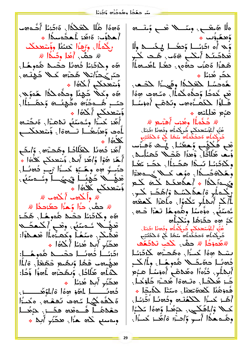مِّد حمُّجُل وهُوجُزُو وُاجَّرْنَا

كَاهِدًا هُلَا لِلْعَلِيْكَا. كَاثَبْنَا أَخُدْهَ أَهْلِؤُب: ٥َاهَٰذِ لْمَحْدُدِماْ ﴾ رِيْكُماْلِ. وَرُقِيُّا تَكْسُلُا وِؤُسْعَدِكْتَ **14 حَقٌّ. أَهُا وِئَيْدًا** هَ هُه وِحْرَفُنْا دُهلًا حصْحًا هُومُا. حَمْرِ يُحَزُّانَ هَجْرَه مُحَدَّ حَجَّلَتِهِ . ؤَمْعَدَكُمْ أَكْثَرُا \* هُه وٖمُلاَ حُمْلًا وِحِدُّه لِمَا هُوَلِهِ. حمّـــ هُـــوكُنَّه وكَّنهــُــه وَحكَـــزلمَا. وُبِتَعِيْلِكُم أَكْدَهُ لَهِ إِلَّهُمْ كُنْثُمْا وِشُمْسُكُمْ لَكُلْهَا وَالْمُحَسَّدِهِ لمُوت وُهزَّىعُكُمْ لَــْــْمَوْلَ. وُسْعِدِكَمْــــمِ × اُهُ/\* ِ أَهَٰ: دُهِنُا لِكَكِّلَادُ الْمِعْصَوْنَ وَالْمَحْمِ أَهَٰذٍ هُوْا وُأَهَٰذٍ أَبِيلٍ. وَسْعِيْكُمِ ݣَلَاهَ! \* دَّنِــِرٌ وهِ مِـمَـَّزِ كَنــُرَا رَبِ دُهنـًا. هَوْشَـــلاً مِّــوَيْـــلْمِ فِيْحِيْبِـــلِّــوَمِّــوَمِّنْهِمْ بِ ؤشعدكم للأه اء کا والکڑی آگھ ہے ـ هـ حقَّ و أو الأحداد من الله عليه الله عليه الله عليه الله عليه الله عليه الله عليه الله عليه الله هُه وكُلاَدُنُا حصْهْ هُومِمُـا. هُحَـٰ: تَعَوْنِكُمْ نَــٰمَمَٰنُ ۖ. وَتَعَــِي ٱلْمُحْمَــٰكِمْ قَدَّمَـٰكُمْ. مِنْـَمَـٰأُ وِكَعِـنُّوَـٰأَا قَعِـمْوْٓا: هكُنُو أَبِهِ هُزِيْلِ أَيْدُهُ! \* ادّْنُسَا دُهنُسا حصْبِهِ هُومُساٍ: هِجُمُعَتَ فَعُلَّ وُتَعَمَّعُ دَعْهَلَ. ١٤/٥ لِكُمُلُو هَٰكُلاَحُل. وَبِـعَجِّزَوه لِمُووُلِ وَجُل: هكَّبَرِ أَبِهِ هُنئا ﴾ هُ لِحَقَّهُ لَكُما صُحْتَ مَعْصُرُ مَعْدَدُا حفَّهْمَا فُــوهُده فضُــز. حَرْهُــا وحميه كاه هزًا. هكَّر أبط \*

ەللەن ھېسىمە ، ومئىسىلا تىسى ۋىتسە وُهِمُووُسَ ﴾ وِّحِهِ أَهِ ادَّنِيْـا وَحِعُــا لِيحْـــح ولَا قُدْمَصْنَدْ أَسْكُمْ قَاهُ . هَـُـتْ كُنْبِر هْدْ: أَهْنُدْ حَثَّى وَ مِنْ الْمُدْمَلَ حکّر هُذِئا \* هُوصُمُ الصَّلِمُ الصَّلِمُ الصَّمَرِ. هْمِ يُدْهُا وُحِثُّه نُدْمَاً. مَـُـْمَدٍ وَهُا كْلُوّْا لِلنَّحْدُّوهِ وِنُلاهْمِ أُوفِسُل هزم مخللته \* ® حُذُماُ! وهُنِ أَقْنِيمِ ® هُنَّهٖ ٱلمُفَعَّدَكُم كُرِيْدَاْ» وِدُوبَا ادَّامًا.<br>كُرِيْدَاْ» ەَحكْدْاْ» مُعْا كِي ەَحْكَتْبَع قبى فَكْلُهُم وَحَفَظْ . فى محصوم زَمْمِ مَكْلَأَثْلَ. زَمِدُل هُشْمًا خَمْدُلُهِ . وكَرْدُنَا تَبْدًا هَجَّزَاً. حَجَّزَ عَعَا وهَكْدْهُكُمْكُلْ. هُوُهَا كُمْكُلْهُ يُحْمَحْتْرَا يُ عَلَيْكُمُ \* أَحْكُمْ مَدْ كُلُّهُ لَكُمْ مِنْ رَبُّدْه مُو وَإِيهِكُمْ حَسَنَةً وَاهْكُمْ لَكُسٍ. لَّأَكُمْ أَنُمْلِر كُدُواْ. مَاْهَ ْا كُمْعْدُه يُومَمُّكُ : وَوَّومُمُّا وَهُومِهُا لَـٰهَۥٓا كَـٰهِ . كُمْ وه حكْزْهَا وْكْلِمَاهْ هُنَّهٖ ٱلمُفَعَّدِكُم كُرِيْكُماه وِدُهِنَا آدُرْيَا.<br>كَرِيْكُماه هُحَدُّدْيَاهِ مُهَا كُمْ هُكَيْتَبْنِ **&هُدوْحُلْ & حَتَّى. لَكْتُبْ تَكْلُكُفُ** ىشىھ ھۇا گىيا. ەھْھىزە كېڭزئا دُوبُا دِوَّىئَــلا مُومِيًـا. وِلَمْتَــر ٱبطلُو. دُّوْوَا وهُدَهَى أُوفِسُا هـرُو كَ : هَٰلاَصًا. وشوهْ أَ هُدْ: ( كَاوْكُلْ. فْدَوْهُلَا كَلَاهُتّْعَلَّا. دَعْتْلُ لِلْكُلِيقِلْ \* أَهَّ: كُمْزًا لِلْكُمُلُدُهِ وِدُهْنَا آدَّنْنَا. كْمِلًا وْالْمُكْمِي. حَرْهُمَا وِّهِهَا عَكْبُا وهُــههُدُا أُســو وُاصــْ; هُ/هُـــ: كُمــُرَا.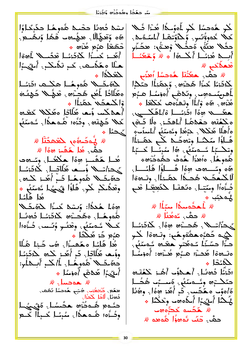ىشى دُەئا جشىي ھُەرجا جڭرگاۋا 06 وَتَعَمَّالًا. مَعْهُدەت قَمَّا وَيْشَيْعِ). دَعْهَا مرُم هُزَره ﴾ أَهَٰ ۚ كَدَّٰٓ الْكَاخَنُـ الْعَضَــمَا لَمُعَامَّا ا هما المكاسف. كمر تكَسكر. أسيءُ! لمعْلِكُمُ \* لحقَمتُكلا هُومِمُط هكْلُمَا ادَّنْطَ ەھَلَّائَا لَمُّع ھَجِنَّە وَ شَوْعًا كَهْنُە وَالْمُعَكِّدُ حَقَّبْلًا \* أهدكم نُسم هُلَاتا وهُكْلا كَعْدِهِ كْمَلًا كُمْلَةُهِ . وِكُنُّوا ۚ هُـهِـهَٰمَاً . شُمِمَّعُ \* انعر A jedino dračil ـ حصٌّ. هُلْ هَفَه: «هُلْ \* هُما هَقَمِ «هُا هِكْعُما. وسُده جُحزائـــلا وَّــــم هَـلَاتـــل كَلاَحَزَــُـل حقمَكم هُموهُا صَّرِ أَهُد: كَلِهِ . وِتْعَفّْتَكُمْ لَحْرٍ. قُاؤًا فَيُحِيَٰهَا شَمْعُهُ \* هٰا هَاسُا اجەم ئەمكا: ۇىشك ئىبار كەمكىلا هْموهْـا. ەھْھــْزە كْلاَّنْـا دُەنْـا كَنْݣَلْا شُومْتُهُ. وِقْتُلُو وُنْسُتْ، ثُنُّوا! هرُم جُز هُكُدُا \* هُا فَامًا مِعْعِبًا. هُ- خَبْلُ هُلَّا وزُعِه هَٰلَاتا. ثَمِ أَهَٰذٍ كَلِّهِ كَاثَذٍنَا دەَخَىلا ھُەمِھْا. كَاكْر أَبِيالُمْ: أَمِنَىٰٓٓ إِ هَٰٰٓهُم أُوضًا ﴾  $\mathcal{R}$  accul. همّع . كَرْبْطُرْت . هُبْنِ هُوصُلْ تَعْفَ.<br>دُهِنُل لِّلْدُل كَجُزْل كَرْمِرْوْهُ عَادَرْهِ حَمَّسُاً. ةَيْجِهَا وِضُنْوا هُـوهِـدًا. مُبِئُـل كَــبِلَا كَــمِر

كُمْ هُءَحِسًا كُمْ أُهرَّحْاً هُـْأَ قَـٰلاً َّكِلًا ۚ خُووُتُس, وَۢكُلُوۡتَكَـلَ ٱلۡاَسۡـَٰٓءَكَ.<br>حِثَـلا ۖ مِتَّقَٰىٖ ۖ وَحِثَـلاً ۖ وَمِـتَٰىٖ: مَحَـّنُنِ أبِ هُنْ أَكُنُ أَوْ وَتَعَكَّبُ أَ andry & ه حَمَّ عَمَّتُنَا مُّوصِّا أَهْبَ كَادَّنْنَا كَدُّا هَجْرَهِ . وَحِجَّنْاً حَكَكَمَ بأُهربمُدوسي وتُكلفُ أُوفِسُا هَزُهِ هُنْزَهِ . هَه وْإِلَمَا وِتَعَزَّمَه حُنْظَا \* هعك مع الأخنس المحافظ ه كَمُنْه حَمْدَهُا أَلْمَحْزِ. وَلَا كُـْهَى هأهلًا هَكُلاً. حَرَّهُا وِثَمِمَّهُ ٱلْمِعَلُّفَةُ فَاؤَا مَكْسًا وِتَحكُمْ كُمْ حَصَّبَكَ وتكلِّط تَــومَعْبُ. 1⁄8 مُبِئَــا كَلَّــرَا هُومِمُل واُهزُا ۚ هُوتُ حَيْمُ دُرْوِ ﴾ هُهِ وَمُسْدَهِ وَهُمْ فَسَلَوْا هَا الْعَلَمَ. لَاكْتُمْكُنَّهُ هُجَدًا حَضَّنَاً. وِتَــْ109 كُزُواْ وِمَّتِهِ وَنَعْقَهِ لِلْكَعِقَا هُم 4 بمحكّب 2 ILL Kusaal 2 **& حَقٌّ. کُومُنُّلُ** & حَدَّاتِ ﴾. هُجِبَّة وها. كَادَّتْ ا كُنْ حَكَبُه هَقَّةوِهُمْ: وِلَـهِهَا كُــْر دأا حمّاً الماحمة معتمر هذه ومعلّه. وتسوةا هُدَرَا هَــُو هُــْوَىٰ: أُوفِعُــا للأنْدَا \* ادَٰٓئِنَّا دُ٥ۡتَا. أَحِكْوَّب أَهُـ; كَحُنْـُ۞ حَكْثَرُهُ وِشَــْمَعُـُمْ. وَمَسـبُّفَ هُــُــلَّا ەُاەوًب مەڭكىب. كَرې لَهُمْ ھِوُا. وِھُطُ يُكْتُمُا أَسْرَيْهِ! أَحْكُمُوهِ وِتَعَكَّمُا \* **& كَمُسْمَد كْتَرُه هَ** حَقٌّ. حَيَّبٌ نُوهِ وَوَٰلَ هُوهِم هِ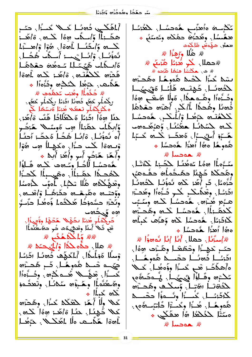آ،افَکّے دُھنُـا کَــلا کَنــُڑا. حنّـر هَخَــزَاْ وَٱسْلَمَــ هِهُ لَكْــهِ وَٱهَــزَ كَمْ وَامْتَئْسًا مْلَاهَا. هُوْا وْاهْشْهَا نْعَوْنُــل: وْابْــلا يْـمِــز أَـــكْفْ هُجُــل: المفهقه مفصد لماتيره بالماة كَحْرُوهِ كَلِلْمُقْدَهِ ﴾ [اهْدِ كَلْمُ الْمَوْءَ هُكُبِ . حَرْهُا حَكْثَرُهِ وَخُزْهَ أَنْ *®* حُذُماُ! وهُنِ مُحفَّف *®* ركْملُر كْتِكَ دُولُّلا ادَّنْنَا رِكْملُر كَتِكَ.<br>مَكْتِكِكْلُر تَعْقَلا فُنِبًا وَيَتَبَقَّا كَل حِبًا وِيَ ارْدَٰنِيْ وَحِكْلِادُا هَيْبَ وَأَهُدِ. وَّارِهَٰلِ حَقَّبْاً وَ هُوِسَكَ هَٰٓزَكُمْ وَ أَه نُهزُنُـا. ةَابُـا هُـحُـا هَجِحُـ: آحنُـاً وْسِعْدًا لَّكْتَ جَبَّالٍ مَكْمِيلًا هِتْ هُوْا وِٱمَّة هَادُمٍ أَس وِٱهۡدَ ٱللهِ ﴾ ْ هُدَمَسُا لَّاكُلُ وِمُـهِد ۚ يَكِهِ ۚ قَـٰاؤُا لمُعْصِمًا حفَّ; أَأَ. مِعْهِ بِمَا كَصَرَا وثَعِيثُكُمْهِ هُلَا سَكِيلٌ لَمَوْمٍ لِحُوْمِنَا وَوَّحْسَنَ هَ هُرِ هُسْ هَيْ حَجَّاظُ الْهَرْ هُسْ هَ . وِنَحْزَا حِنُودُكُمْ كَلَائُومُ أَوْوَهُمْ الْحَزَّمِيُّ မတ္ဆိုက္ရွိ ၀၀္ دُرِكْهُلُرٍ هُنْا بِكُهْلا هُدَهْا وِوُّى أَل َّهُمْ ثَلاً أَسُلًا وَهُدْيُهُ هَ حُو حَيَّ هُنُمَاً!<br>هُمْ وَلْمُلْذِهُنَّمْ \* @ هلله حدَّه حكَّم الله عنه الله ه وْمِمُلَا هُوْلُمُمَّا. ٱلْمُكَهَّفُ فَهُمْنَا اكْبْنَا، دَيْبِ شَيْئًا هُومُاً. ثُبّ هُشَآه كَمِسْرًا. هَدُّكُمْ كُمْسِهِ كَثَرَهِ فِي وَمُسْؤَوْرًا وهَعكنُماُ وهُرْوُه مُكلبًا. وتُعشُّدو لاه گه*اً \** كملا ولْمْ أَهَٰ: حَقْدُه يُمِنُوا وهُدْرُه كْمَا كُمْتُا. حَتَا ةَاهَدْ وَهُا كَلُو. أَ90 هَذَبِهِ وَلَا لِمَحْكَمٍ . حَرْهُما

كَـٰابِــةِ وَاُهِنَّمِــعُوصَفِــاً. لِكَـٰذِـُـاً<br>هِـمَـْسُاً. وِهُـٰدُوَٰةِ حَقُلَاهِ وِخَامَعُ \* همعُّ هِهُوشَ هَالْکُوهِ ه هُلا وِرْدُا ۾ ه حملل کر مُزْمًا مُّزْمَعُ \*<br>\* \* . مَكْشَا مَنْعًا مُّرْحَدٍ \* ىشى كْتُرَا لْكَسْمْ هُومُا وهُدَرْو لحدُهنُا. حُمِنَــه هَٰلَـٰا هَيْجِيُـا وحُـزُّه،ا وهُـممكان هُولًا هُـعْبٌ هِهَا فُهِمًا وهُحِمًا لَمُكَنِ أَهْنَهِ حَمْدَهُا تَكْتَمَتْسَ حَرْهُمَا وْٱلْمَكْسِ. هُوصِمُمَا لَّكْلُّهُ لَكُنْكُمْ لَيْكُمْ لِمُؤْمَنُونَ وَالْمُؤْمَنُونَ وَالْمُؤْمَنَ وَالْمُؤْمَنَ وَالْمُؤْم هَــَمْ أَسْلَىٰــُمْ فَا مَعْدَـــــ لَكَــــــهِ كَــــَمْ لِمَــــمَ هُومِهُا وَوَٰٓا أَهٰٰٓا هُوصُلٌ ﴾ 2 Lusca 2 مَـُرُه أَا هِهُمْ مَعْمُـٰلِ حَكَـٰزِمْ كَـُمْتَـٰلِ. وهُحكُمْ حُمْلًا حَهْدُهاُهْ حَقْـُهِ﴾ كُنُومُا. كَرِ أُهُدِ ݣُلُو نُووُنُـا ۖ لِكُلُونُـا ۚ ادَّنْسًا. وِتَعَمَّىكُمْ كُمُو دُّنَّاهُ وَهُدَار هـُمْ هُـُرْهِ . هُـُمحِمْـاً لَكِـهِ وَمَـُـرَّب كْدْهَـزْلَمْ. هُءْدْسُــا ݣــْدْ وْهُـدْرْدْ كْلاَكْبْنْل. هُـْمَحْسُلْ كْلَاهِ وُهَّتُهَ كَبِلُوهِ وَوَّا أُهْزًا هُوْصُلْ ﴾ ِ *﴿ مِدْتُلْ. حملل أَنْلُ إِنَّا* نُوهِ وَلَا ﴾ حنَّــر تَــهــزُا وتَــتَّـعْــا وهَــْزَت وهُا. هأهكُنَـٰ; قُبِي مُجَــُّ; ووَهُ مُجَــاً. كَجَلًا بَعْثَرَهِ وِصَّاؤُا فَيُحِيَٰكَ لَيَ عَكْدَةً مِ حدُثُونسا الأسلِّ. وَسكن وهُجِبْرُو<br>جُلاَحُوْسُباً. كُسِبُوا وِنَسوؤًا حصَّبِ هُومِمًا. هُـزُا وِكَــرَّا حَاتِبُــوُّهِ. مئتًا للنُلْطُ هُ مَعَكِ \* 2 Lusca 2